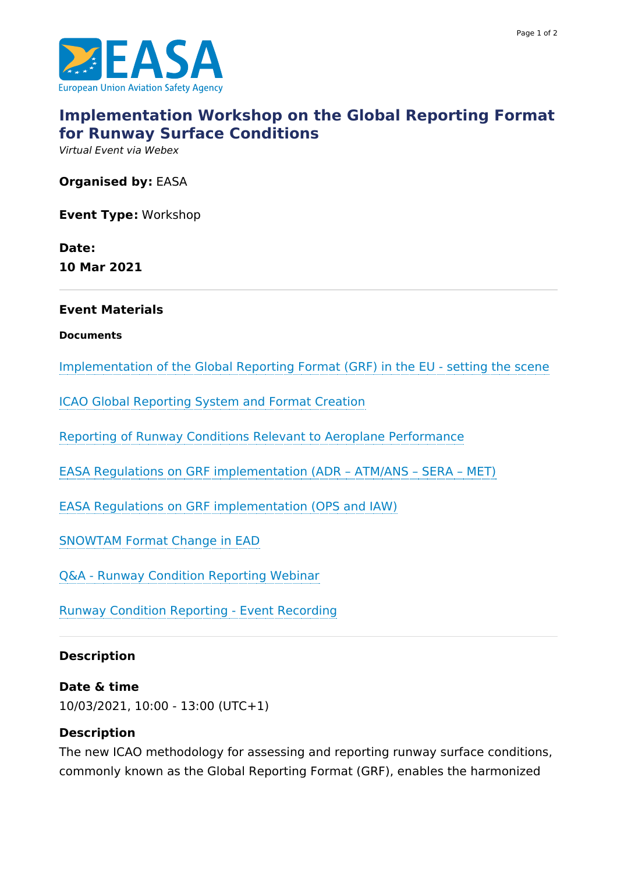



# **[Implementation](https://www.easa.europa.eu/newsroom-and-events/events/implementation-workshop-global-reporting-format-runway-surface) Workshop on the Global Reporting Format for Runway Surface Conditions**

Virtual Event via Webex

**Organised by:** EASA

**Event Type:** Workshop

**Date: 10 Mar 2021**

#### **Event Materials**

**Documents**

[Implementation](https://www.easa.europa.eu/downloads/125407/en) of the Global Reporting Format (GRF) in the EU - setting the scene

ICAO Global [Reporting](https://www.easa.europa.eu/downloads/125408/en) System and Format Creation

Reporting of Runway Conditions Relevant to Aeroplane [Performance](https://www.easa.europa.eu/downloads/125409/en)

EASA Regulations on GRF [implementation](https://www.easa.europa.eu/downloads/125410/en) (ADR – ATM/ANS – SERA – MET)

EASA Regulations on GRF [implementation](https://www.easa.europa.eu/downloads/125411/en) (OPS and IAW)

[SNOWTAM](https://www.easa.europa.eu/downloads/125412/en) Format Change in EAD

Q&A - Runway Condition [Reporting](https://www.easa.europa.eu/downloads/127156/en) Webinar

Runway Condition Reporting - Event [Recording](https://youtu.be/xdb_CcMGuHM)

### **Description**

#### **Date & time**

10/03/2021, 10:00 - 13:00 (UTC+1)

### **Description**

The new ICAO methodology for assessing and reporting runway surface conditions, commonly known as the Global Reporting Format (GRF), enables the harmonized